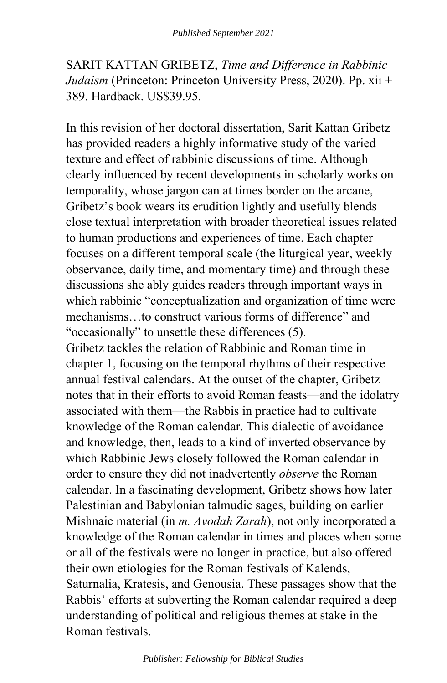SARIT KATTAN GRIBETZ, *Time and Difference in Rabbinic Judaism* (Princeton: Princeton University Press, 2020). Pp. xii + 389. Hardback. US\$39.95.

In this revision of her doctoral dissertation, Sarit Kattan Gribetz has provided readers a highly informative study of the varied texture and effect of rabbinic discussions of time. Although clearly influenced by recent developments in scholarly works on temporality, whose jargon can at times border on the arcane, Gribetz's book wears its erudition lightly and usefully blends close textual interpretation with broader theoretical issues related to human productions and experiences of time. Each chapter focuses on a different temporal scale (the liturgical year, weekly observance, daily time, and momentary time) and through these discussions she ably guides readers through important ways in which rabbinic "conceptualization and organization of time were mechanisms…to construct various forms of difference" and "occasionally" to unsettle these differences (5). Gribetz tackles the relation of Rabbinic and Roman time in chapter 1, focusing on the temporal rhythms of their respective annual festival calendars. At the outset of the chapter, Gribetz notes that in their efforts to avoid Roman feasts—and the idolatry associated with them—the Rabbis in practice had to cultivate knowledge of the Roman calendar. This dialectic of avoidance and knowledge, then, leads to a kind of inverted observance by which Rabbinic Jews closely followed the Roman calendar in order to ensure they did not inadvertently *observe* the Roman calendar. In a fascinating development, Gribetz shows how later Palestinian and Babylonian talmudic sages, building on earlier Mishnaic material (in *m. Avodah Zarah*), not only incorporated a knowledge of the Roman calendar in times and places when some or all of the festivals were no longer in practice, but also offered their own etiologies for the Roman festivals of Kalends, Saturnalia, Kratesis, and Genousia. These passages show that the Rabbis' efforts at subverting the Roman calendar required a deep understanding of political and religious themes at stake in the Roman festivals.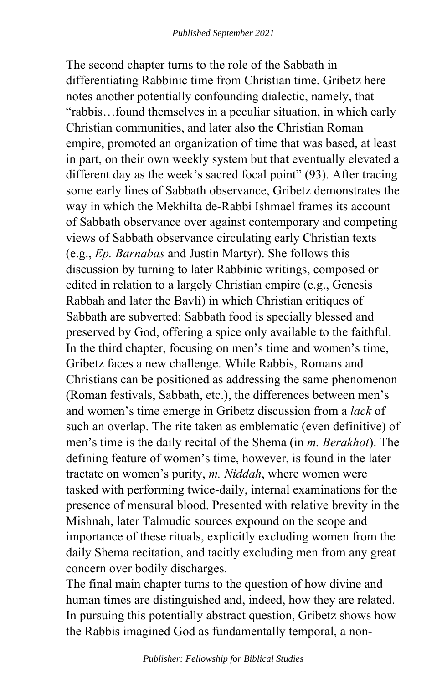The second chapter turns to the role of the Sabbath in differentiating Rabbinic time from Christian time. Gribetz here notes another potentially confounding dialectic, namely, that "rabbis…found themselves in a peculiar situation, in which early Christian communities, and later also the Christian Roman empire, promoted an organization of time that was based, at least in part, on their own weekly system but that eventually elevated a different day as the week's sacred focal point" (93). After tracing some early lines of Sabbath observance, Gribetz demonstrates the way in which the Mekhilta de-Rabbi Ishmael frames its account of Sabbath observance over against contemporary and competing views of Sabbath observance circulating early Christian texts (e.g., *Ep. Barnabas* and Justin Martyr). She follows this discussion by turning to later Rabbinic writings, composed or edited in relation to a largely Christian empire (e.g., Genesis Rabbah and later the Bavli) in which Christian critiques of Sabbath are subverted: Sabbath food is specially blessed and preserved by God, offering a spice only available to the faithful. In the third chapter, focusing on men's time and women's time, Gribetz faces a new challenge. While Rabbis, Romans and Christians can be positioned as addressing the same phenomenon (Roman festivals, Sabbath, etc.), the differences between men's and women's time emerge in Gribetz discussion from a *lack* of such an overlap. The rite taken as emblematic (even definitive) of men's time is the daily recital of the Shema (in *m. Berakhot*). The defining feature of women's time, however, is found in the later tractate on women's purity, *m. Niddah*, where women were tasked with performing twice-daily, internal examinations for the presence of mensural blood. Presented with relative brevity in the Mishnah, later Talmudic sources expound on the scope and importance of these rituals, explicitly excluding women from the daily Shema recitation, and tacitly excluding men from any great concern over bodily discharges.

The final main chapter turns to the question of how divine and human times are distinguished and, indeed, how they are related. In pursuing this potentially abstract question, Gribetz shows how the Rabbis imagined God as fundamentally temporal, a non